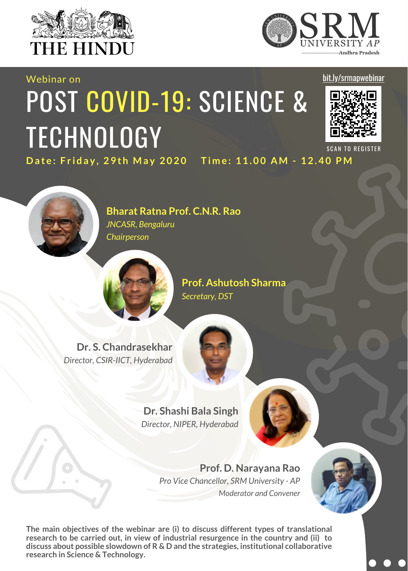



## [bit.ly/srmapwebinar](https://bit.ly/srmapwebinar)

## Date: Friday, 29th May 2020 Time: 11.00 AM - 12.40 PM POST COVID-19: SCIENCE & **TECHNOLOGY**



**SCAN T[O](http://bit.ly/srmapwebinar) REGISTER** 



Webinar on

**Bharat Ratna Prof. C.N.R. Rao** *JNCASR, Bengaluru Chairperson*



**Prof. Ashutosh Sharma** *Secretary, DST*

**Dr. S. Chandrasekhar** *Director, CSIR-IICT, Hyderabad*



**Dr. Shashi Bala Singh** *Director, NIPER, Hyderabad*



**Prof. D. Narayana Rao** *Pro Vice Chancellor, SRM University - AP Moderator and Convener*



**The main objectives of the webinar are (i) to discuss different types of translational research to be carried out, in view of industrial resurgence in the country and (ii) to discuss about possible slowdown of R & D and the strategies, institutional collaborative research in Science & Technology.**